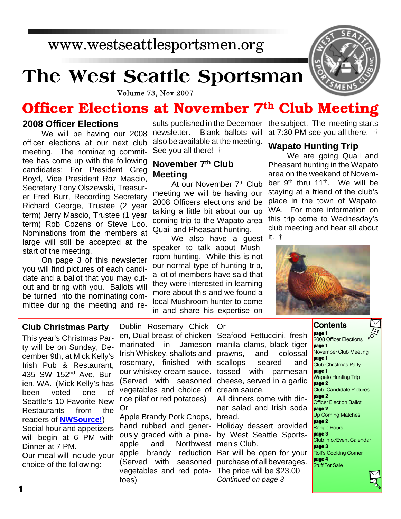## www.westseattlesportsmen.org

## **The West Seattle Sportsman**



**Volume 73, Nov 2007** 

## **Officer Elections at November 7th Club Meeting**

#### **2008 Officer Elections**

We will be having our 2008 officer elections at our next club meeting. The nominating committee has come up with the following candidates: For President Greg Boyd, Vice President Roz Mascio, Secretary Tony Olszewski, Treasurer Fred Burr, Recording Secretary Richard George, Trustee (2 year term) Jerry Mascio, Trustee (1 year term) Rob Cozens or Steve Loo. Nominations from the members at large will still be accepted at the start of the meeting.

On page 3 of this newsletter you will find pictures of each candidate and a ballot that you may cutout and bring with you. Ballots will be turned into the nominating committee during the meeting and renewsletter. Blank ballots will also be available at the meeting. See you all there! †

#### **November 7th Club Meeting**

At our November 7<sup>th</sup> Club meeting we will be having our 2008 Officers elections and be talking a little bit about our up coming trip to the Wapato area Quail and Pheasant hunting.

We also have a guest <sup>it.</sup> † speaker to talk about Mushroom hunting. While this is not our normal type of hunting trip, a lot of members have said that they were interested in learning more about this and we found a local Mushroom hunter to come in and share his expertise on

sults published in the December the subject. The meeting starts at 7:30 PM see you all there. †

#### **Wapato Hunting Trip**

We are going Quail and Pheasant hunting in the Wapato area on the weekend of November 9<sup>th</sup> thru 11<sup>th</sup>. We will be staying at a friend of the club's place in the town of Wapato, WA. For more information on this trip come to Wednesday's club meeting and hear all about



#### **Club Christmas Party**

This year's Christmas Party will be on Sunday, December 9th, at Mick Kelly's Irish Pub & Restaurant, 435 SW 152nd Ave, Burien, WA. (Mick Kelly's has been voted one of Seattle's 10 Favorite New Restaurants from the readers of **NWSource!**) Social hour and appetizers will begin at 6 PM with Dinner at 7 PM. Our meal will include your choice of the following:

Dublin Rosemary Chick-Or en, Dual breast of chicken Seafood Fettuccini, fresh marinated in Irish Whiskey, shallots and prawns, and colossal rosemary, finished with scallops seared and our whiskey cream sauce. tossed with parmesan (Served with seasoned cheese, served in a garlic vegetables and choice of cream sauce. rice pilaf or red potatoes) Or

Apple Brandy Pork Chops, bread. hand rubbed and generously graced with a pineapple and Northwest men's Club. apple brandy reduction (Served with seasoned vegetables and red potatoes)

Jameson manila clams, black tiger

All dinners come with dinner salad and Irish soda

Holiday dessert provided by West Seattle Sports-

Bar will be open for your purchase of all beverages. The price will be \$23.00 *Continued on page 3*

#### **Contents**

**page 1** 2008 Officer Elections **page 1** November Club Meeting **page 1** Club Christmas Party **page 1** Wapato Hunting Trip **page 2** Club Candidate Pictures **page 2** Officer Election Ballot **page 2** Up Coming Matches **page 2** Range Hours **page 3** Club Info./Event Calendar **page 3** Rolf's Cooking Corner **page 4** Stuff For Sale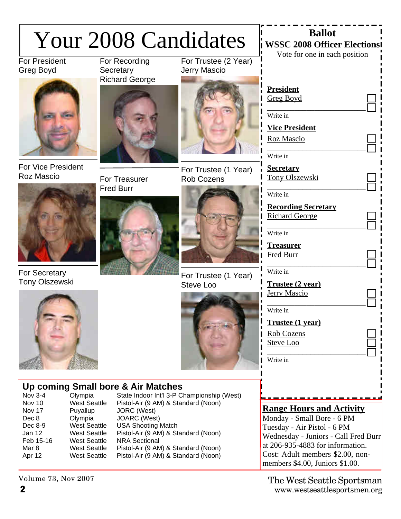|                                                                                                  | <b>Your 2008 Candidates</b>                                                                                                                                              | <b>Ballot</b><br><b>WSSC 2008 Officer Elections</b><br>Vote for one in each position                                                                                                                                                                                               |                                             |                                                                                                                                                                                                                                                          |
|--------------------------------------------------------------------------------------------------|--------------------------------------------------------------------------------------------------------------------------------------------------------------------------|------------------------------------------------------------------------------------------------------------------------------------------------------------------------------------------------------------------------------------------------------------------------------------|---------------------------------------------|----------------------------------------------------------------------------------------------------------------------------------------------------------------------------------------------------------------------------------------------------------|
| <b>For President</b><br>Greg Boyd                                                                |                                                                                                                                                                          | For Recording<br>Secretary                                                                                                                                                                                                                                                         | For Trustee (2 Year)<br><b>Jerry Mascio</b> |                                                                                                                                                                                                                                                          |
|                                                                                                  |                                                                                                                                                                          | <b>Richard George</b>                                                                                                                                                                                                                                                              |                                             | <b>President</b><br><b>Greg Boyd</b><br>Write in<br><b>Vice President</b><br>Roz Mascio<br>Write in                                                                                                                                                      |
| <b>For Vice President</b><br>Roz Mascio                                                          |                                                                                                                                                                          | For Treasurer                                                                                                                                                                                                                                                                      | For Trustee (1 Year)<br><b>Rob Cozens</b>   | <b>Secretary</b><br>Tony Olszewski                                                                                                                                                                                                                       |
| <b>For Secretary</b><br><b>Tony Olszewski</b>                                                    |                                                                                                                                                                          | <b>Fred Burr</b>                                                                                                                                                                                                                                                                   | For Trustee (1 Year)<br>Steve Loo           | Write in<br><b>Recording Secretary</b><br><b>Richard George</b><br>Write in<br><b>Treasurer</b><br>Fred Burr<br>Write in<br>Trustee (2 year)<br><b>Jerry Mascio</b><br>Write in<br><b>Trustee (1 year)</b><br>Rob Cozens<br><b>Steve Loo</b><br>Write in |
| <b>Nov 3-4</b><br>Nov 10<br>Nov 17<br>Dec 8<br>Dec 8-9<br>Jan 12<br>Feb 15-16<br>Mar 8<br>Apr 12 | Olympia<br><b>West Seattle</b><br>Puyallup<br>Olympia<br><b>West Seattle</b><br><b>West Seattle</b><br><b>West Seattle</b><br><b>West Seattle</b><br><b>West Seattle</b> | Up coming Small bore & Air Matches<br>Pistol-Air (9 AM) & Standard (Noon)<br>JORC (West)<br>JOARC (West)<br><b>USA Shooting Match</b><br>Pistol-Air (9 AM) & Standard (Noon)<br><b>NRA Sectional</b><br>Pistol-Air (9 AM) & Standard (Noon)<br>Pistol-Air (9 AM) & Standard (Noon) | State Indoor Int'l 3-P Championship (West)  | <b>Range Hours and Activity</b><br>Monday - Small Bore - 6 PM<br>Tuesday - Air Pistol - 6 PM<br>Wednesday - Juniors - Call Fred Burr<br>at 206-935-4883 for information.<br>Cost: Adult members \$2.00, non-<br>members \$4.00, Juniors \$1.00.          |
| Volume 73, Nov 2007                                                                              |                                                                                                                                                                          |                                                                                                                                                                                                                                                                                    |                                             | The West Seattle Sportsman                                                                                                                                                                                                                               |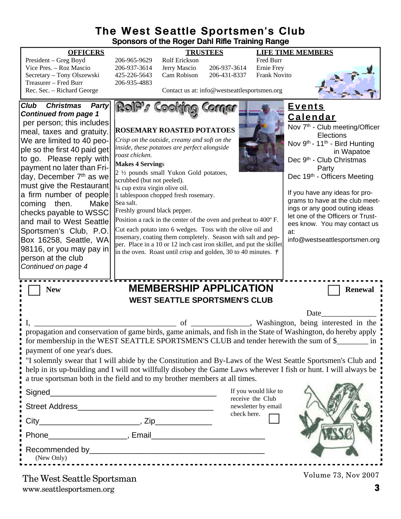#### **The West Seattle Sportsmen's Club Sponsors of the Roger Dahl Rifle Training Range**

|                                                                                                                                                                                                                                                                                                                                                                                                                                                                                                                                                                           | Sponsors of the Roger Dahl Rifle Training Range                                                                                                                                                                                                                                                                                                                                                                                                                                                                                                                                                                                                                                                                                             |                                                                                                                                |                                                                                                                                                                                                                                                                                                                                                                                                                                               |
|---------------------------------------------------------------------------------------------------------------------------------------------------------------------------------------------------------------------------------------------------------------------------------------------------------------------------------------------------------------------------------------------------------------------------------------------------------------------------------------------------------------------------------------------------------------------------|---------------------------------------------------------------------------------------------------------------------------------------------------------------------------------------------------------------------------------------------------------------------------------------------------------------------------------------------------------------------------------------------------------------------------------------------------------------------------------------------------------------------------------------------------------------------------------------------------------------------------------------------------------------------------------------------------------------------------------------------|--------------------------------------------------------------------------------------------------------------------------------|-----------------------------------------------------------------------------------------------------------------------------------------------------------------------------------------------------------------------------------------------------------------------------------------------------------------------------------------------------------------------------------------------------------------------------------------------|
| <b>OFFICERS</b><br>President - Greg Boyd<br>Vice Pres. - Roz Mascio<br>Secretary - Tony Olszewski<br>Treasurer - Fred Burr<br>Rec. Sec. - Richard George                                                                                                                                                                                                                                                                                                                                                                                                                  | <b>TRUSTEES</b><br>206-965-9629<br>Rolf Erickson<br>206-937-3614<br>Jerry Mascio<br>Cam Robison<br>425-226-5643<br>206-935-4883                                                                                                                                                                                                                                                                                                                                                                                                                                                                                                                                                                                                             | Fred Burr<br>206-937-3614<br>Ernie Frey<br><b>Frank Novito</b><br>206-431-8337<br>Contact us at: info@westseattlesportsmen.org | <b>LIFE TIME MEMBERS</b>                                                                                                                                                                                                                                                                                                                                                                                                                      |
| <b>Club</b><br><b>Christmas</b><br>Party<br><b>Continued from page 1</b><br>per person; this includes<br>meal, taxes and gratuity.<br>We are limited to 40 peo-<br>ple so the first 40 paid get<br>to go. Please reply with<br>payment no later than Fri-<br>day, December 7 <sup>th</sup> as we<br>must give the Restaurant<br>a firm number of people<br>coming then.<br><b>Make</b><br>checks payable to WSSC<br>and mail to West Seattle<br>Sportsmen's Club, P.O.<br>Box 16258, Seattle, WA<br>98116, or you may pay in<br>person at the club<br>Continued on page 4 | ROP<br><b>ROSEMARY ROASTED POTATOES</b><br>Crisp on the outside, creamy and soft on the<br>inside, these potatoes are perfect alongside<br>roast chicken.<br><b>Makes 4 Servings</b><br>2 1/2 pounds small Yukon Gold potatoes,<br>scrubbed (but not peeled).<br>1/4 cup extra virgin olive oil.<br>1 tablespoon chopped fresh rosemary.<br>Sea salt.<br>Freshly ground black pepper.<br>Position a rack in the center of the oven and preheat to 400°F.<br>Cut each potato into 6 wedges. Toss with the olive oil and<br>rosemary, coating them completely. Season with salt and pep-<br>per. Place in a 10 or 12 inch cast iron skillet, and put the skillet<br>in the oven. Roast until crisp and golden, 30 to 40 minutes. $\dot{\tau}$ |                                                                                                                                | <u>Events</u><br><b>Calendar</b><br>Nov 7 <sup>th</sup> - Club meeting/Officer<br>Elections<br>Nov 9th - 11th - Bird Hunting<br>in Wapatoe<br>Dec 9 <sup>th</sup> - Club Christmas<br>Party<br>Dec 19th - Officers Meeting<br>If you have any ideas for pro-<br>grams to have at the club meet-<br>ings or any good outing ideas<br>let one of the Officers or Trust-<br>ees know. You may contact us<br>at:<br>info@westseattlesportsmen.org |
| <b>New</b>                                                                                                                                                                                                                                                                                                                                                                                                                                                                                                                                                                | <b>MEMBERSHIP APPLICATION</b><br><b>WEST SEATTLE SPORTSMEN'S CLUB</b><br>of                                                                                                                                                                                                                                                                                                                                                                                                                                                                                                                                                                                                                                                                 |                                                                                                                                | <b>Renewal</b><br>Date<br>Washington, being interested in the                                                                                                                                                                                                                                                                                                                                                                                 |
| payment of one year's dues.<br>Signed<br>(New Only)                                                                                                                                                                                                                                                                                                                                                                                                                                                                                                                       | a true sportsman both in the field and to my brother members at all times.                                                                                                                                                                                                                                                                                                                                                                                                                                                                                                                                                                                                                                                                  | If you would like to<br>receive the Club<br>newsletter by email<br>check here.                                                 | propagation and conservation of game birds, game animals, and fish in the State of Washington, do hereby apply<br>for membership in the WEST SEATTLE SPORTSMEN'S CLUB and tender herewith the sum of \$<br>"I solemnly swear that I will abide by the Constitution and By-Laws of the West Seattle Sportsmen's Club and<br>help in its up-building and I will not willfully disobey the Game Laws wherever I fish or hunt. I will always be   |
|                                                                                                                                                                                                                                                                                                                                                                                                                                                                                                                                                                           | The West Seattle Sportsman                                                                                                                                                                                                                                                                                                                                                                                                                                                                                                                                                                                                                                                                                                                  |                                                                                                                                | Volume 73, Nov 2007                                                                                                                                                                                                                                                                                                                                                                                                                           |

www.seattlesportsmen.org **3** The West Seattle Sportsman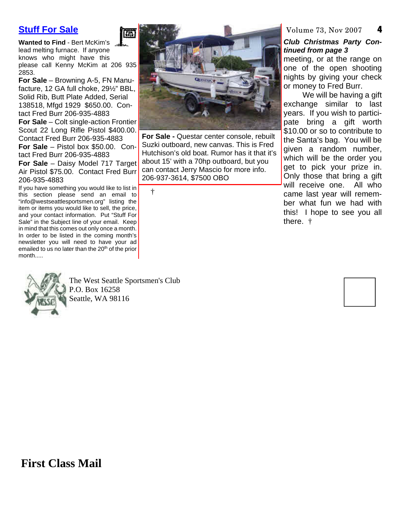### **Stuff For Sale**

**Wanted to Find** - Bert McKim's lead melting furnace. If anyone knows who might have this please call Kenny McKim at 206 935 2853.

鷹

**For Sale** – Browning A-5, FN Manufacture, 12 GA full choke, 29½" BBL, Solid Rib, Butt Plate Added, Serial 138518, Mfgd 1929 \$650.00. Contact Fred Burr 206-935-4883

**For Sale** – Colt single-action Frontier Scout 22 Long Rifle Pistol \$400.00. Contact Fred Burr 206-935-4883 **For Sale** – Pistol box \$50.00. Con-

tact Fred Burr 206-935-4883 **For Sale** – Daisy Model 717 Target Air Pistol \$75.00. Contact Fred Burr 206-935-4883

If you have something you would like to list in this section please send an email to "info@westseattlesportsmen.org" listing the item or items you would like to sell, the price, and your contact information. Put "Stuff For Sale" in the Subject line of your email. Keep in mind that this comes out only once a month. In order to be listed in the coming month's newsletter you will need to have your ad emailed to us no later than the 20<sup>th</sup> of the prior month.....



The West Seattle Sportsmen's Club P.O. Box 16258 Seattle, WA 98116



**For Sale -** Questar center console, rebuilt Suzki outboard, new canvas. This is Fred Hutchison's old boat. Rumor has it that it's about 15' with a 70hp outboard, but you can contact Jerry Mascio for more info. 206-937-3614, \$7500 OBO

†

#### **4** Volume 73, Nov 2007

#### *Club Christmas Party Continued from page 3*

meeting, or at the range on one of the open shooting nights by giving your check or money to Fred Burr.

We will be having a gift exchange similar to last years. If you wish to participate bring a gift worth \$10.00 or so to contribute to the Santa's bag. You will be given a random number, which will be the order you get to pick your prize in. Only those that bring a gift will receive one. All who came last year will remember what fun we had with this! I hope to see you all there. †



**First Class Mail**